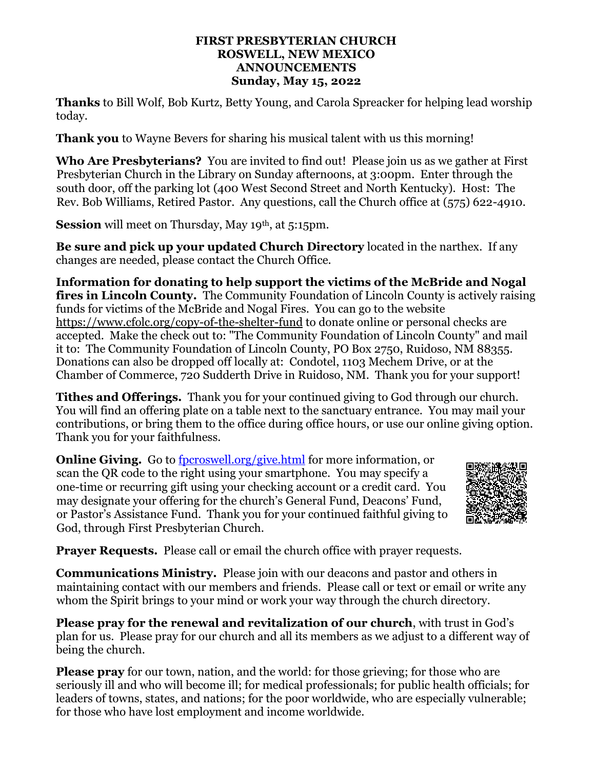## **FIRST PRESBYTERIAN CHURCH ROSWELL, NEW MEXICO ANNOUNCEMENTS Sunday, May 15, 2022**

**Thanks** to Bill Wolf, Bob Kurtz, Betty Young, and Carola Spreacker for helping lead worship today.

**Thank you** to Wayne Bevers for sharing his musical talent with us this morning!

**Who Are Presbyterians?** You are invited to find out! Please join us as we gather at First Presbyterian Church in the Library on Sunday afternoons, at 3:00pm. Enter through the south door, off the parking lot (400 West Second Street and North Kentucky). Host: The Rev. Bob Williams, Retired Pastor. Any questions, call the Church office at (575) 622-4910.

**Session** will meet on Thursday, May 19<sup>th</sup>, at 5:15pm.

**Be sure and pick up your updated Church Directory** located in the narthex. If any changes are needed, please contact the Church Office.

**Information for donating to help support the victims of the McBride and Nogal fires in Lincoln County.** The Community Foundation of Lincoln County is actively raising funds for victims of the McBride and Nogal Fires. You can go to the website <https://www.cfolc.org/copy-of-the-shelter-fund> to donate online or personal checks are accepted. Make the check out to: "The Community Foundation of Lincoln County" and mail it to: The Community Foundation of Lincoln County, PO Box 2750, Ruidoso, NM 88355. Donations can also be dropped off locally at: Condotel, 1103 Mechem Drive, or at the Chamber of Commerce, 720 Sudderth Drive in Ruidoso, NM. Thank you for your support!

**Tithes and Offerings.** Thank you for your continued giving to God through our church. You will find an offering plate on a table next to the sanctuary entrance. You may mail your contributions, or bring them to the office during office hours, or use our online giving option. Thank you for your faithfulness.

**Online Giving.** Go to <u>fpcroswell.org/give.html</u> for more information, or scan the QR code to the right using your smartphone. You may specify a one-time or recurring gift using your checking account or a credit card. You may designate your offering for the church's General Fund, Deacons' Fund, or Pastor's Assistance Fund. Thank you for your continued faithful giving to God, through First Presbyterian Church.



**Prayer Requests.** Please call or email the church office with prayer requests.

**Communications Ministry.** Please join with our deacons and pastor and others in maintaining contact with our members and friends. Please call or text or email or write any whom the Spirit brings to your mind or work your way through the church directory.

**Please pray for the renewal and revitalization of our church**, with trust in God's plan for us. Please pray for our church and all its members as we adjust to a different way of being the church.

**Please pray** for our town, nation, and the world: for those grieving; for those who are seriously ill and who will become ill; for medical professionals; for public health officials; for leaders of towns, states, and nations; for the poor worldwide, who are especially vulnerable; for those who have lost employment and income worldwide.